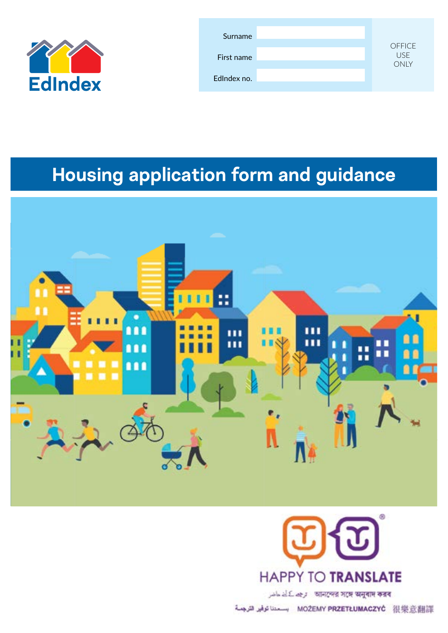

| Surname<br>First name | <b>OFFICE</b><br><b>USE</b><br><b>ONLY</b> |
|-----------------------|--------------------------------------------|
| EdIndex no.           |                                            |

# **Housing application form and guidance**





আনন্দের সঙ্গে অনুবাদ করব : ترجم کے لئے ماضر

MOŻEMY PRZETŁUMACZYĆ 很樂意翻譯 بسعدنا توفير الترجمة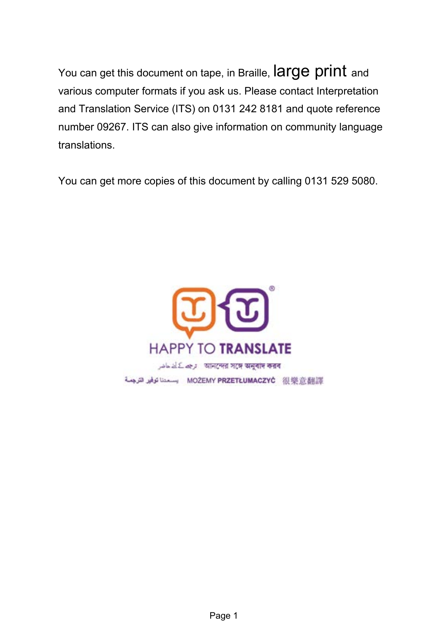You can get this document on tape, in Braille, **large print** and various computer formats if you ask us. Please contact Interpretation and Translation Service (ITS) on 0131 242 8181 and quote reference number 09267. ITS can also give information on community language translations.

You can get more copies of this document by calling 0131 529 5080.

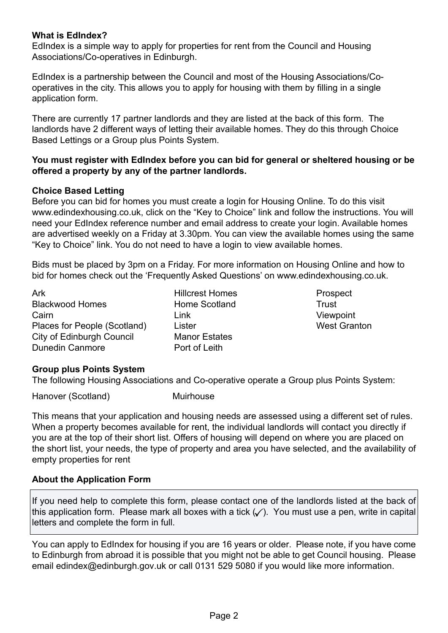#### **What is EdIndex?**

EdIndex is a simple way to apply for properties for rent from the Council and Housing Associations/Co-operatives in Edinburgh.

EdIndex is a partnership between the Council and most of the Housing Associations/Cooperatives in the city. This allows you to apply for housing with them by filling in a single application form.

There are currently 17 partner landlords and they are listed at the back of this form. The landlords have 2 different ways of letting their available homes. They do this through Choice Based Lettings or a Group plus Points System.

#### **You must register with EdIndex before you can bid for general or sheltered housing or be offered a property by any of the partner landlords.**

#### **Choice Based Letting**

Before you can bid for homes you must create a login for Housing Online. To do this visit www.edindexhousing.co.uk, click on the "Key to Choice" link and follow the instructions. You will need your EdIndex reference number and email address to create your login. Available homes are advertised weekly on a Friday at 3.30pm. You can view the available homes using the same "Key to Choice" link. You do not need to have a login to view available homes.

Bids must be placed by 3pm on a Friday. For more information on Housing Online and how to bid for homes check out the 'Frequently Asked Questions' on www.edindexhousing.co.uk.

Ark **Ark** Hillcrest Homes **Prospect** Blackwood Homes **Home Scotland** Trust Cairn Link Viewpoint Places for People (Scotland) Lister Network Channels West Granton City of Edinburgh Council Manor Estates Dunedin Canmore **Port of Leith** 

#### **Group plus Points System**

The following Housing Associations and Co-operative operate a Group plus Points System:

Hanover (Scotland) Muirhouse

This means that your application and housing needs are assessed using a different set of rules. When a property becomes available for rent, the individual landlords will contact you directly if you are at the top of their short list. Offers of housing will depend on where you are placed on the short list, your needs, the type of property and area you have selected, and the availability of empty properties for rent

#### **About the Application Form**

If you need help to complete this form, please contact one of the landlords listed at the back of this application form. Please mark all boxes with a tick  $(\sqrt{\ } )$ . You must use a pen, write in capital letters and complete the form in full.

You can apply to EdIndex for housing if you are 16 years or older. Please note, if you have come to Edinburgh from abroad it is possible that you might not be able to get Council housing. Please email edindex@edinburgh.gov.uk or call 0131 529 5080 if you would like more information.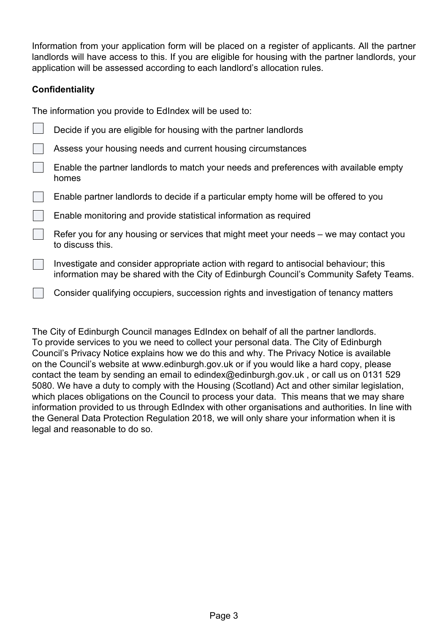Information from your application form will be placed on a register of applicants. All the partner landlords will have access to this. If you are eligible for housing with the partner landlords, your application will be assessed according to each landlord's allocation rules.

## **Confidentiality**

The information you provide to EdIndex will be used to:

| Decide if you are eligible for housing with the partner landlords                                                                                                               |
|---------------------------------------------------------------------------------------------------------------------------------------------------------------------------------|
| Assess your housing needs and current housing circumstances                                                                                                                     |
| Enable the partner landlords to match your needs and preferences with available empty<br>homes                                                                                  |
| Enable partner landlords to decide if a particular empty home will be offered to you                                                                                            |
| Enable monitoring and provide statistical information as required                                                                                                               |
| Refer you for any housing or services that might meet your needs – we may contact you<br>to discuss this.                                                                       |
| Investigate and consider appropriate action with regard to antisocial behaviour; this<br>information may be shared with the City of Edinburgh Council's Community Safety Teams. |
| Consider qualifying occupiers, succession rights and investigation of tenancy matters                                                                                           |

The City of Edinburgh Council manages EdIndex on behalf of all the partner landlords. To provide services to you we need to collect your personal data. The City of Edinburgh Council's Privacy Notice explains how we do this and why. The Privacy Notice is available on the Council's website at www.edinburgh.gov.uk or if you would like a hard copy, please contact the team by sending an email to edindex@edinburgh.gov.uk , or call us on 0131 529 5080. We have a duty to comply with the Housing (Scotland) Act and other similar legislation, which places obligations on the Council to process your data. This means that we may share information provided to us through EdIndex with other organisations and authorities. In line with the General Data Protection Regulation 2018, we will only share your information when it is legal and reasonable to do so.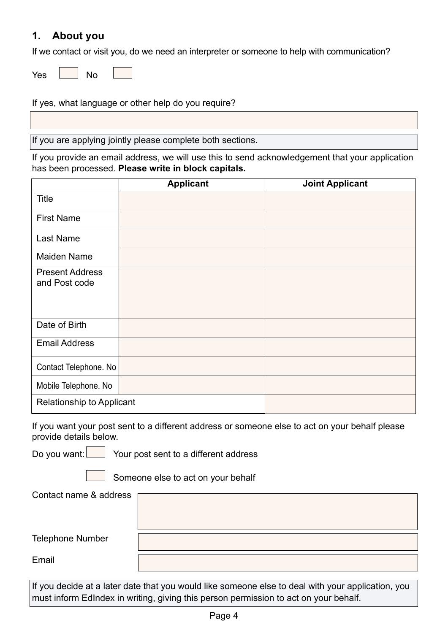## **1. About you**

If we contact or visit you, do we need an interpreter or someone to help with communication?

If yes, what language or other help do you require?

If you are applying jointly please complete both sections.

If you provide an email address, we will use this to send acknowledgement that your application has been processed. **Please write in block capitals.**

|                                         | <b>Applicant</b> | <b>Joint Applicant</b> |
|-----------------------------------------|------------------|------------------------|
| <b>Title</b>                            |                  |                        |
| <b>First Name</b>                       |                  |                        |
| Last Name                               |                  |                        |
| Maiden Name                             |                  |                        |
| <b>Present Address</b><br>and Post code |                  |                        |
| Date of Birth                           |                  |                        |
| <b>Email Address</b>                    |                  |                        |
| Contact Telephone. No                   |                  |                        |
| Mobile Telephone. No                    |                  |                        |
| Relationship to Applicant               |                  |                        |

If you want your post sent to a different address or someone else to act on your behalf please provide details below.

Do you want:  $\Box$  Your post sent to a different address

Someone else to act on your behalf

Contact name & address

Telephone Number

Email

If you decide at a later date that you would like someone else to deal with your application, you must inform EdIndex in writing, giving this person permission to act on your behalf.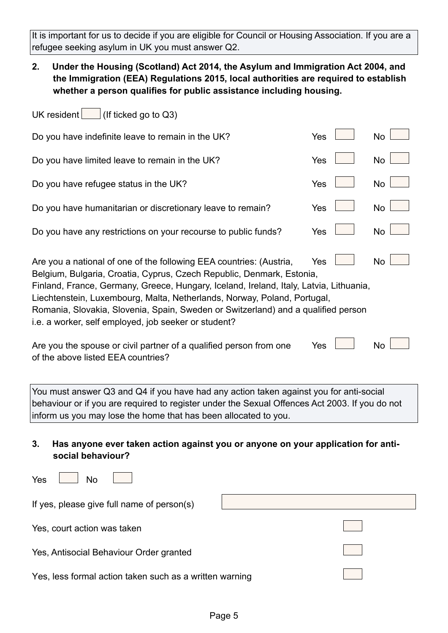It is important for us to decide if you are eligible for Council or Housing Association. If you are a refugee seeking asylum in UK you must answer Q2.

**2. Under the Housing (Scotland) Act 2014, the Asylum and Immigration Act 2004, and the Immigration (EEA) Regulations 2015, local authorities are required to establish whether a person qualifies for public assistance including housing.**

| (If ticked go to Q3)<br>UK resident                                                                                                                                                                                                                                                                                                                                                                                                                                                                                                                                                                                 |     |  |           |  |
|---------------------------------------------------------------------------------------------------------------------------------------------------------------------------------------------------------------------------------------------------------------------------------------------------------------------------------------------------------------------------------------------------------------------------------------------------------------------------------------------------------------------------------------------------------------------------------------------------------------------|-----|--|-----------|--|
| Do you have indefinite leave to remain in the UK?                                                                                                                                                                                                                                                                                                                                                                                                                                                                                                                                                                   | Yes |  | <b>No</b> |  |
| Do you have limited leave to remain in the UK?                                                                                                                                                                                                                                                                                                                                                                                                                                                                                                                                                                      | Yes |  | <b>No</b> |  |
| Do you have refugee status in the UK?                                                                                                                                                                                                                                                                                                                                                                                                                                                                                                                                                                               | Yes |  | <b>No</b> |  |
| Do you have humanitarian or discretionary leave to remain?                                                                                                                                                                                                                                                                                                                                                                                                                                                                                                                                                          | Yes |  | <b>No</b> |  |
| Do you have any restrictions on your recourse to public funds?                                                                                                                                                                                                                                                                                                                                                                                                                                                                                                                                                      | Yes |  | <b>No</b> |  |
| <b>No</b><br>Are you a national of one of the following EEA countries: (Austria,<br>Yes<br>Belgium, Bulgaria, Croatia, Cyprus, Czech Republic, Denmark, Estonia,<br>Finland, France, Germany, Greece, Hungary, Iceland, Ireland, Italy, Latvia, Lithuania,<br>Liechtenstein, Luxembourg, Malta, Netherlands, Norway, Poland, Portugal,<br>Romania, Slovakia, Slovenia, Spain, Sweden or Switzerland) and a qualified person<br>i.e. a worker, self employed, job seeker or student?<br><b>No</b><br>Are you the spouse or civil partner of a qualified person from one<br>Yes<br>of the above listed EEA countries? |     |  |           |  |
| You must answer Q3 and Q4 if you have had any action taken against you for anti-social<br>behaviour or if you are required to register under the Sexual Offences Act 2003. If you do not<br>inform us you may lose the home that has been allocated to you.                                                                                                                                                                                                                                                                                                                                                         |     |  |           |  |

**3. Has anyone ever taken action against you or anyone on your application for antisocial behaviour?**

| Yes<br>No                                               |  |
|---------------------------------------------------------|--|
| If yes, please give full name of person(s)              |  |
| Yes, court action was taken                             |  |
| Yes, Antisocial Behaviour Order granted                 |  |
| Yes, less formal action taken such as a written warning |  |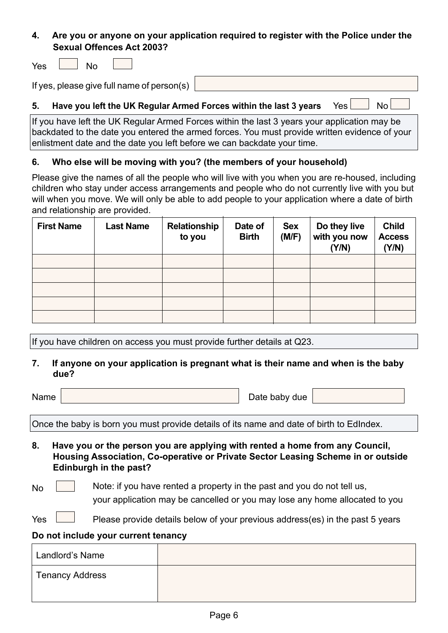## **4. Are you or anyone on your application required to register with the Police under the Sexual Offences Act 2003?**

**Yes** 

| ۰,<br>$-$ |  |
|-----------|--|
|           |  |

If yes, please give full name of person(s)

## **5. Have you left the UK Regular Armed Forces within the last 3 years** Yes  $\Box$  No

If you have left the UK Regular Armed Forces within the last 3 years your application may be backdated to the date you entered the armed forces. You must provide written evidence of your enlistment date and the date you left before we can backdate your time.

#### **6. Who else will be moving with you? (the members of your household)**

Please give the names of all the people who will live with you when you are re-housed, including children who stay under access arrangements and people who do not currently live with you but will when you move. We will only be able to add people to your application where a date of birth and relationship are provided.

| <b>First Name</b> | <b>Last Name</b> | <b>Relationship</b><br>to you | Date of<br><b>Birth</b> | <b>Sex</b><br>(M/F) | Do they live<br>with you now<br>(Y/N) | <b>Child</b><br><b>Access</b><br>(Y/N) |
|-------------------|------------------|-------------------------------|-------------------------|---------------------|---------------------------------------|----------------------------------------|
|                   |                  |                               |                         |                     |                                       |                                        |
|                   |                  |                               |                         |                     |                                       |                                        |
|                   |                  |                               |                         |                     |                                       |                                        |
|                   |                  |                               |                         |                     |                                       |                                        |
|                   |                  |                               |                         |                     |                                       |                                        |

If you have children on access you must provide further details at Q23.

#### **7. If anyone on your application is pregnant what is their name and when is the baby due?**

Name Name  $\vert$  Date baby due

Once the baby is born you must provide details of its name and date of birth to EdIndex.

- **8. Have you or the person you are applying with rented a home from any Council, Housing Association, Co-operative or Private Sector Leasing Scheme in or outside Edinburgh in the past?**
- $N<sub>0</sub>$  Note: if you have rented a property in the past and you do not tell us,

your application may be cancelled or you may lose any home allocated to you

Yes  $\Box$  Please provide details below of your previous address(es) in the past 5 years

#### **Do not include your current tenancy**

| Landlord's Name |  |
|-----------------|--|
| Tenancy Address |  |
|                 |  |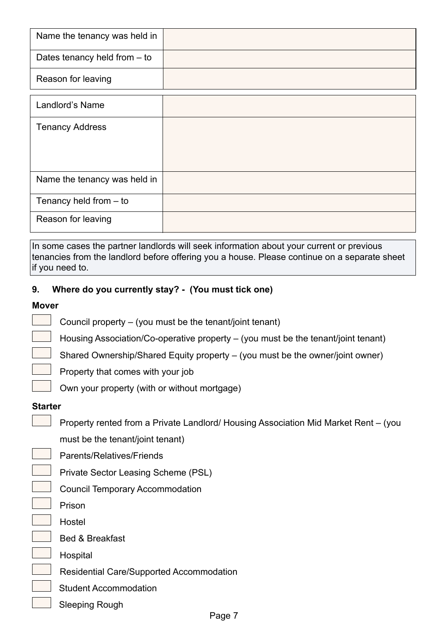| Name the tenancy was held in   |  |
|--------------------------------|--|
| Dates tenancy held from $-$ to |  |
| Reason for leaving             |  |
| Landlord's Name                |  |
| <b>Tenancy Address</b>         |  |
|                                |  |
|                                |  |
| Name the tenancy was held in   |  |
| Tenancy held from $-$ to       |  |
| Reason for leaving             |  |

In some cases the partner landlords will seek information about your current or previous tenancies from the landlord before offering you a house. Please continue on a separate sheet if you need to.

#### **9. Where do you currently stay? - (You must tick one)**

#### **Mover**

- Council property (you must be the tenant/joint tenant)
- Housing Association/Co-operative property (you must be the tenant/joint tenant)
- Shared Ownership/Shared Equity property (you must be the owner/joint owner)
- Property that comes with your job
	- Own your property (with or without mortgage)

#### **Starter**

Property rented from a Private Landlord/ Housing Association Mid Market Rent – (you

must be the tenant/joint tenant)

Parents/Relatives/Friends

- Private Sector Leasing Scheme (PSL)
- Council Temporary Accommodation
- Prison
- Hostel
	- Bed & Breakfast
- Hospital
	- Residential Care/Supported Accommodation
- Student Accommodation
- Sleeping Rough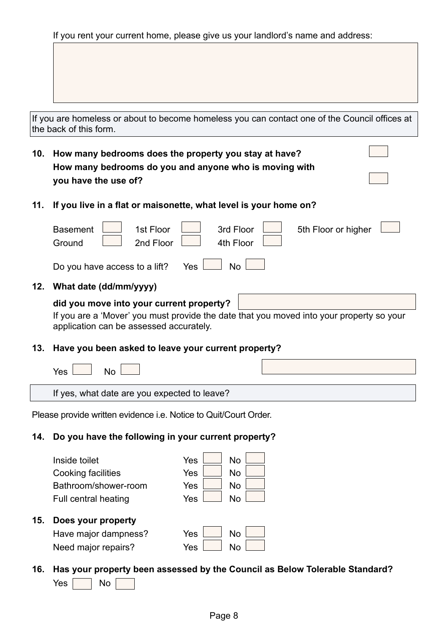If you rent your current home, please give us your landlord's name and address:

|     | If you are homeless or about to become homeless you can contact one of the Council offices at<br>the back of this form.                                                         |  |  |
|-----|---------------------------------------------------------------------------------------------------------------------------------------------------------------------------------|--|--|
| 10. | How many bedrooms does the property you stay at have?                                                                                                                           |  |  |
|     | How many bedrooms do you and anyone who is moving with                                                                                                                          |  |  |
|     | you have the use of?                                                                                                                                                            |  |  |
| 11. | If you live in a flat or maisonette, what level is your home on?                                                                                                                |  |  |
|     | 1st Floor<br>3rd Floor<br><b>Basement</b><br>5th Floor or higher<br>2nd Floor<br>Ground<br>4th Floor                                                                            |  |  |
|     | <b>No</b><br>Do you have access to a lift?<br><b>Yes</b>                                                                                                                        |  |  |
| 12. | What date (dd/mm/yyyy)                                                                                                                                                          |  |  |
|     | did you move into your current property?<br>If you are a 'Mover' you must provide the date that you moved into your property so your<br>application can be assessed accurately. |  |  |
| 13. | Have you been asked to leave your current property?                                                                                                                             |  |  |
|     | Yes<br>No                                                                                                                                                                       |  |  |
|     | If yes, what date are you expected to leave?                                                                                                                                    |  |  |
|     | Please provide written evidence <i>i.e.</i> Notice to Quit/Court Order.                                                                                                         |  |  |
| 14. | Do you have the following in your current property?                                                                                                                             |  |  |
|     | Inside toilet<br>Yes<br><b>No</b>                                                                                                                                               |  |  |
|     | Cooking facilities<br><b>No</b><br>Yes                                                                                                                                          |  |  |
|     | Bathroom/shower-room<br><b>No</b><br>Yes                                                                                                                                        |  |  |
|     | <b>No</b><br>Yes<br><b>Full central heating</b>                                                                                                                                 |  |  |

#### **15. Does your property**

| Have major dampness? | $Yes \Box$   | No ' |  |
|----------------------|--------------|------|--|
| Need major repairs?  | $Yes$ $\Box$ | No   |  |

# **16. Has your property been assessed by the Council as Below Tolerable Standard?**

 $Yes \frown \neg No \frown$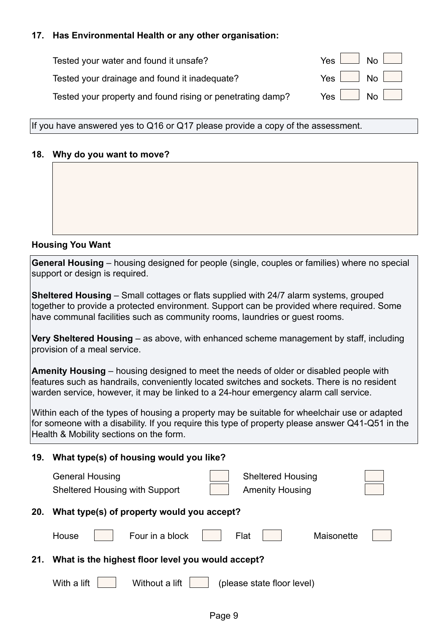## **17. Has Environmental Health or any other organisation:**

| Tested your water and found it unsafe?                     | $Yes$ $No$ $\Box$         |
|------------------------------------------------------------|---------------------------|
| Tested your drainage and found it inadequate?              | $Yes \mid No \mid$        |
| Tested your property and found rising or penetrating damp? | $Yes \quad No \quad \Box$ |

If you have answered yes to Q16 or Q17 please provide a copy of the assessment.

#### **18. Why do you want to move?**

#### **Housing You Want**

**General Housing** – housing designed for people (single, couples or families) where no special support or design is required.

**Sheltered Housing** – Small cottages or flats supplied with 24/7 alarm systems, grouped together to provide a protected environment. Support can be provided where required. Some have communal facilities such as community rooms, laundries or guest rooms.

**Very Sheltered Housing** – as above, with enhanced scheme management by staff, including provision of a meal service.

**Amenity Housing** – housing designed to meet the needs of older or disabled people with features such as handrails, conveniently located switches and sockets. There is no resident warden service, however, it may be linked to a 24-hour emergency alarm call service.

Within each of the types of housing a property may be suitable for wheelchair use or adapted for someone with a disability. If you require this type of property please answer Q41-Q51 in the Health & Mobility sections on the form.

| 19. | What type(s) of housing would you like?                                                                               |
|-----|-----------------------------------------------------------------------------------------------------------------------|
|     | <b>General Housing</b><br><b>Sheltered Housing</b><br><b>Amenity Housing</b><br><b>Sheltered Housing with Support</b> |
| 20. | What type(s) of property would you accept?                                                                            |
|     | Four in a block<br>Flat<br>House<br>Maisonette                                                                        |
| 21. | What is the highest floor level you would accept?                                                                     |
|     | Without a lift<br>With a lift<br>(please state floor level)                                                           |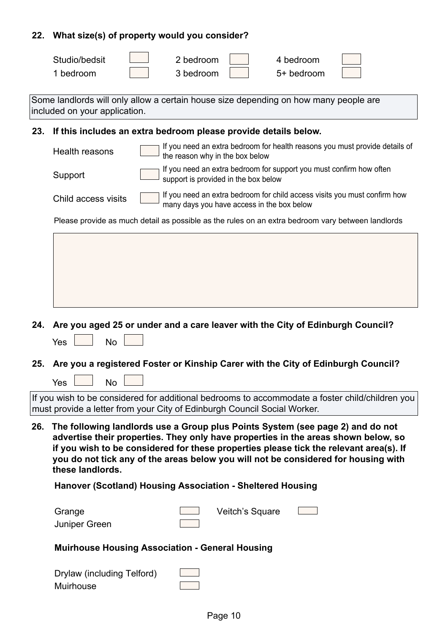## **22. What size(s) of property would you consider?**

| Studio/bedsit | 2 bedroom | 4 bedroom  |  |
|---------------|-----------|------------|--|
| bedroom       | 3 bedroom | 5+ bedroom |  |

Some landlords will only allow a certain house size depending on how many people are included on your application.

## **23. If this includes an extra bedroom please provide details below.**

|                     | 29. – II (III) IIIGIUGS AII GAUA DEUIVOIII PIGASE PIUVIUG UGIAIIS DEIUW.                                                |
|---------------------|-------------------------------------------------------------------------------------------------------------------------|
| Health reasons      | If you need an extra bedroom for health reasons you must provide details of<br>the reason why in the box below          |
| Support             | If you need an extra bedroom for support you must confirm how often<br>support is provided in the box below             |
| Child access visits | If you need an extra bedroom for child access visits you must confirm how<br>many days you have access in the box below |
|                     | Please provide as much detail as possible as the rules on an extra bedroom vary between landlords                       |
|                     |                                                                                                                         |
|                     |                                                                                                                         |
|                     |                                                                                                                         |
|                     |                                                                                                                         |

- **24. Are you aged 25 or under and a care leaver with the City of Edinburgh Council?**
	- $Yes \mid$  No  $\mid$

 $No$ 

**25. Are you a registered Foster or Kinship Carer with the City of Edinburgh Council?**

| If you wish to be considered for additional bedrooms to accommodate a foster child/children you |
|-------------------------------------------------------------------------------------------------|
| must provide a letter from your City of Edinburgh Council Social Worker.                        |

**26. The following landlords use a Group plus Points System (see page 2) and do not advertise their properties. They only have properties in the areas shown below, so if you wish to be considered for these properties please tick the relevant area(s). If you do not tick any of the areas below you will not be considered for housing with these landlords.**

#### **Hanover (Scotland) Housing Association - Sheltered Housing**

| Grange        | Veitch's Square |  |
|---------------|-----------------|--|
| Juniper Green |                 |  |
|               |                 |  |

#### **Muirhouse Housing Association - General Housing**

| Drylaw (including Telford) |  |
|----------------------------|--|
| Muirhouse                  |  |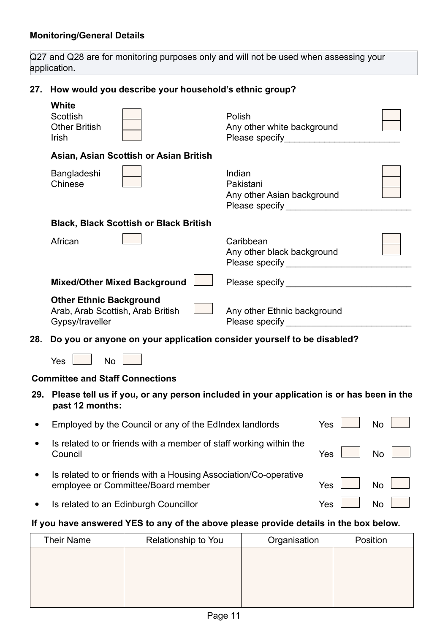Q27 and Q28 are for monitoring purposes only and will not be used when assessing your application.

## **27. How would you describe your household's ethnic group?**

|     | <b>White</b><br>Scottish<br><b>Other British</b><br><b>Irish</b>                       | Polish<br>Any other white background<br>Please specify and the property              |  |
|-----|----------------------------------------------------------------------------------------|--------------------------------------------------------------------------------------|--|
|     | Asian, Asian Scottish or Asian British                                                 |                                                                                      |  |
|     | Bangladeshi<br>Chinese                                                                 | Indian<br>Pakistani<br>Any other Asian background<br>Please specify and the property |  |
|     | <b>Black, Black Scottish or Black British</b>                                          |                                                                                      |  |
|     | African                                                                                | Caribbean<br>Any other black background                                              |  |
|     | <b>Mixed/Other Mixed Background</b>                                                    | Please specify <b>Exercise 2018</b>                                                  |  |
|     | <b>Other Ethnic Background</b><br>Arab, Arab Scottish, Arab British<br>Gypsy/traveller | Any other Ethnic background<br>Please specify and the property                       |  |
| 28. | Do you or anyone on your application consider yourself to be disabled?                 |                                                                                      |  |
|     | No<br>Yes                                                                              |                                                                                      |  |

#### **Committee and Staff Connections**

**29. Please tell us if you, or any person included in your application is or has been in the past 12 months:**

| Employed by the Council or any of the EdIndex landlords                                                | Yes        | N <sub>0</sub> |
|--------------------------------------------------------------------------------------------------------|------------|----------------|
| Is related to or friends with a member of staff working within the<br>Council                          | Yes        | No             |
| Is related to or friends with a Housing Association/Co-operative<br>employee or Committee/Board member | <b>Yes</b> | No             |
| Is related to an Edinburgh Councillor                                                                  | Yes        | $N_{\Omega}$   |

## **If you have answered YES to any of the above please provide details in the box below.**

| <b>Their Name</b> | Relationship to You | Organisation | Position |
|-------------------|---------------------|--------------|----------|
|                   |                     |              |          |
|                   |                     |              |          |
|                   |                     |              |          |
|                   |                     |              |          |
|                   |                     |              |          |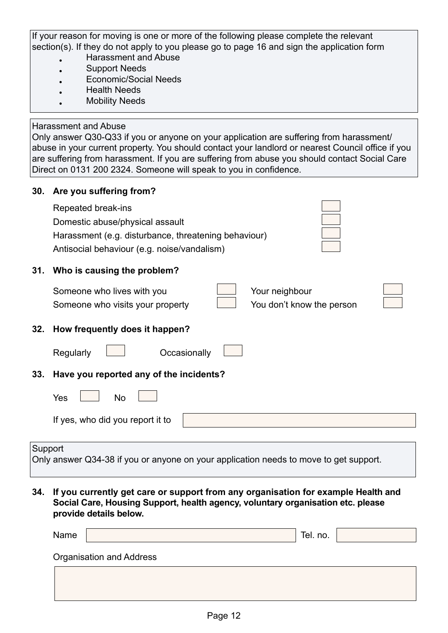If your reason for moving is one or more of the following please complete the relevant section(s). If they do not apply to you please go to page 16 and sign the application form

- Harassment and Abuse
- Support Needs
- Economic/Social Needs
- Health Needs
- **Mobility Needs**

#### Harassment and Abuse

Only answer Q30-Q33 if you or anyone on your application are suffering from harassment/ abuse in your current property. You should contact your landlord or nearest Council office if you are suffering from harassment. If you are suffering from abuse you should contact Social Care Direct on 0131 200 2324. Someone will speak to you in confidence.

| 30.     | Are you suffering from?                                                                                                                                              |
|---------|----------------------------------------------------------------------------------------------------------------------------------------------------------------------|
|         | Repeated break-ins<br>Domestic abuse/physical assault<br>Harassment (e.g. disturbance, threatening behaviour)<br>Antisocial behaviour (e.g. noise/vandalism)         |
| 31.     | Who is causing the problem?                                                                                                                                          |
|         | Someone who lives with you<br>Your neighbour<br>You don't know the person<br>Someone who visits your property                                                        |
| 32.     | How frequently does it happen?                                                                                                                                       |
|         | Regularly<br>Occasionally                                                                                                                                            |
| 33.     | Have you reported any of the incidents?                                                                                                                              |
|         | Yes<br>No                                                                                                                                                            |
|         | If yes, who did you report it to                                                                                                                                     |
|         |                                                                                                                                                                      |
| Support | Only answer Q34-38 if you or anyone on your application needs to move to get support.                                                                                |
| 34.     | If you currently get care or support from any organisation for example Health and<br>Social Care, Housing Support, health agency, voluntary organisation etc. please |

**provide details below.**

| Name |                          | Tel. no. |  |
|------|--------------------------|----------|--|
|      | Organisation and Address |          |  |
|      |                          |          |  |
|      |                          |          |  |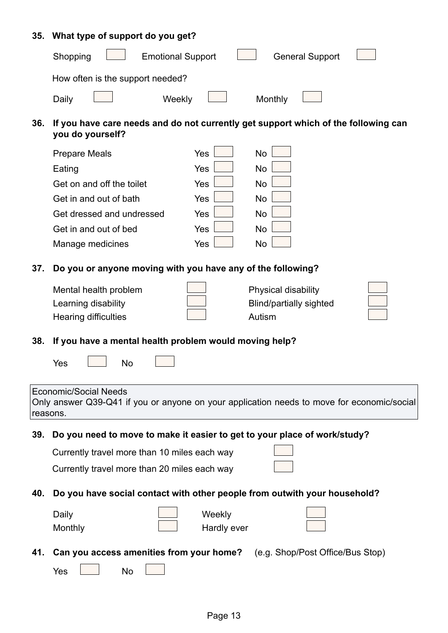## **35. What type of support do you get?**

|     | Shopping<br><b>Emotional Support</b><br><b>General Support</b>                                                                         |  |  |  |
|-----|----------------------------------------------------------------------------------------------------------------------------------------|--|--|--|
|     | How often is the support needed?                                                                                                       |  |  |  |
|     | Weekly<br>Monthly<br>Daily                                                                                                             |  |  |  |
| 36. | If you have care needs and do not currently get support which of the following can<br>you do yourself?                                 |  |  |  |
|     | Yes<br><b>No</b><br><b>Prepare Meals</b>                                                                                               |  |  |  |
|     | Yes<br><b>No</b><br>Eating                                                                                                             |  |  |  |
|     | Yes<br><b>No</b><br>Get on and off the toilet                                                                                          |  |  |  |
|     | Yes<br><b>No</b><br>Get in and out of bath                                                                                             |  |  |  |
|     | Yes<br><b>No</b><br>Get dressed and undressed                                                                                          |  |  |  |
|     | Yes<br><b>No</b><br>Get in and out of bed                                                                                              |  |  |  |
|     | Yes<br><b>No</b><br>Manage medicines                                                                                                   |  |  |  |
| 37. | Do you or anyone moving with you have any of the following?                                                                            |  |  |  |
|     | Mental health problem<br>Physical disability                                                                                           |  |  |  |
|     | Learning disability<br><b>Blind/partially sighted</b>                                                                                  |  |  |  |
|     | Autism<br><b>Hearing difficulties</b>                                                                                                  |  |  |  |
|     |                                                                                                                                        |  |  |  |
| 38. | If you have a mental health problem would moving help?                                                                                 |  |  |  |
|     | Yes<br><b>No</b>                                                                                                                       |  |  |  |
|     |                                                                                                                                        |  |  |  |
|     | <b>Economic/Social Needs</b><br>Only answer Q39-Q41 if you or anyone on your application needs to move for economic/social<br>reasons. |  |  |  |
| 39. | Do you need to move to make it easier to get to your place of work/study?                                                              |  |  |  |
|     | Currently travel more than 10 miles each way                                                                                           |  |  |  |
|     | Currently travel more than 20 miles each way                                                                                           |  |  |  |
| 40. | Do you have social contact with other people from outwith your household?                                                              |  |  |  |
|     |                                                                                                                                        |  |  |  |
|     | Daily<br>Weekly<br>Monthly<br>Hardly ever                                                                                              |  |  |  |
|     |                                                                                                                                        |  |  |  |
| 41. | Can you access amenities from your home?<br>(e.g. Shop/Post Office/Bus Stop)                                                           |  |  |  |
|     | Yes<br><b>No</b>                                                                                                                       |  |  |  |
|     |                                                                                                                                        |  |  |  |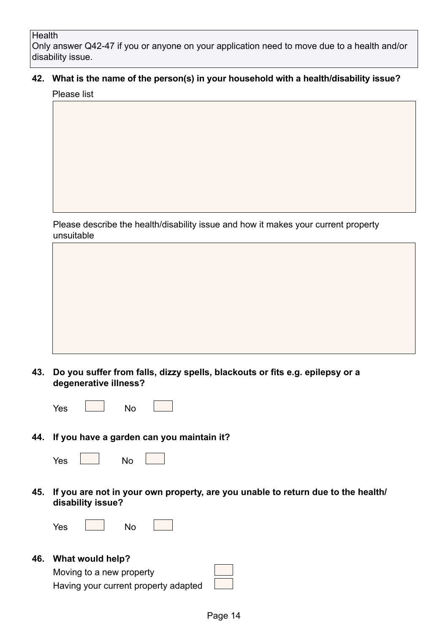#### **Health**

Only answer Q42-47 if you or anyone on your application need to move due to a health and/or disability issue.

## **42. What is the name of the person(s) in your household with a health/disability issue?**

Please list

Please describe the health/disability issue and how it makes your current property unsuitable

**43. Do you suffer from falls, dizzy spells, blackouts or fits e.g. epilepsy or a degenerative illness?** 

| - 1<br>w<br>-<br>- |  |  |  |  |
|--------------------|--|--|--|--|
|--------------------|--|--|--|--|

**44. If you have a garden can you maintain it?**

| Yes |  | No |
|-----|--|----|
|-----|--|----|

**45. If you are not in your own property, are you unable to return due to the health/ disability issue?** 

Yes No

#### **46. What would help?**

Moving to a new property Having your current property adapted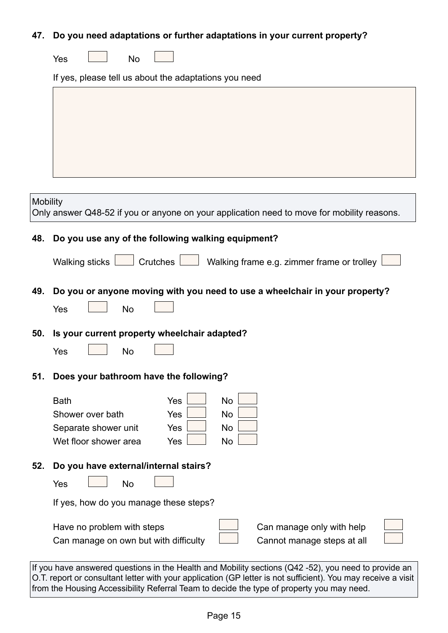## **47. Do you need adaptations or further adaptations in your current property?**

| Yes<br>No |  |
|-----------|--|
|-----------|--|

If yes, please tell us about the adaptations you need

| Mobility | Only answer Q48-52 if you or anyone on your application need to move for mobility reasons.                                                                                                                           |
|----------|----------------------------------------------------------------------------------------------------------------------------------------------------------------------------------------------------------------------|
| 48.      | Do you use any of the following walking equipment?                                                                                                                                                                   |
|          | Walking sticks $\boxed{\phantom{a}}$ Crutches $\boxed{\phantom{a}}$ Walking frame e.g. zimmer frame or trolley                                                                                                       |
| 49.      | Do you or anyone moving with you need to use a wheelchair in your property?                                                                                                                                          |
|          | Yes<br><b>No</b>                                                                                                                                                                                                     |
| 50.      | Is your current property wheelchair adapted?                                                                                                                                                                         |
|          | <b>No</b><br>Yes                                                                                                                                                                                                     |
| 51.      | Does your bathroom have the following?                                                                                                                                                                               |
|          | <b>No</b><br><b>Bath</b><br>Yes                                                                                                                                                                                      |
|          | Shower over bath<br>Yes<br>No                                                                                                                                                                                        |
|          | No<br>Yes<br>Separate shower unit<br>Wet floor shower area<br>No<br>Yes                                                                                                                                              |
| 52.      | Do you have external/internal stairs?                                                                                                                                                                                |
|          | <b>No</b><br>Yes                                                                                                                                                                                                     |
|          | If yes, how do you manage these steps?                                                                                                                                                                               |
|          | Have no problem with steps<br>Can manage only with help                                                                                                                                                              |
|          | Can manage on own but with difficulty<br>Cannot manage steps at all                                                                                                                                                  |
|          | If you have answered questions in the Health and Mobility sections (Q42-52), you need to provide an<br>O.T. report or consultant letter with your application (GP letter is not sufficient). You may receive a visit |

from the Housing Accessibility Referral Team to decide the type of property you may need.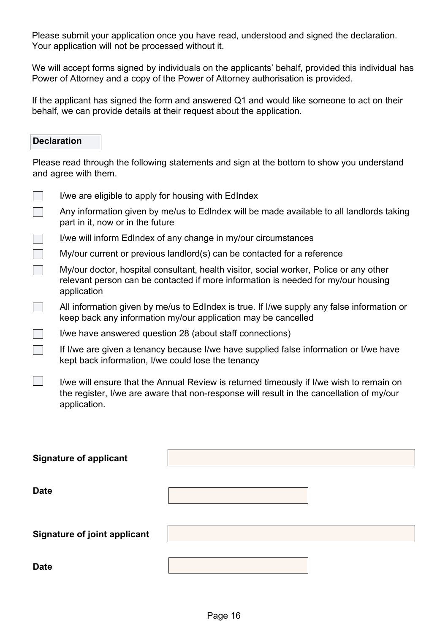Please submit your application once you have read, understood and signed the declaration. Your application will not be processed without it.

We will accept forms signed by individuals on the applicants' behalf, provided this individual has Power of Attorney and a copy of the Power of Attorney authorisation is provided.

If the applicant has signed the form and answered Q1 and would like someone to act on their behalf, we can provide details at their request about the application.

#### **Declaration**

Please read through the following statements and sign at the bottom to show you understand and agree with them.

|                                     | I/we are eligible to apply for housing with EdIndex                                                                                                                                                 |  |  |
|-------------------------------------|-----------------------------------------------------------------------------------------------------------------------------------------------------------------------------------------------------|--|--|
|                                     | Any information given by me/us to EdIndex will be made available to all landlords taking<br>part in it, now or in the future                                                                        |  |  |
|                                     | I/we will inform EdIndex of any change in my/our circumstances                                                                                                                                      |  |  |
|                                     | My/our current or previous landlord(s) can be contacted for a reference                                                                                                                             |  |  |
|                                     | My/our doctor, hospital consultant, health visitor, social worker, Police or any other<br>relevant person can be contacted if more information is needed for my/our housing<br>application          |  |  |
|                                     | All information given by me/us to EdIndex is true. If I/we supply any false information or<br>keep back any information my/our application may be cancelled                                         |  |  |
|                                     | I/we have answered question 28 (about staff connections)                                                                                                                                            |  |  |
|                                     | If I/we are given a tenancy because I/we have supplied false information or I/we have<br>kept back information, I/we could lose the tenancy                                                         |  |  |
|                                     | I/we will ensure that the Annual Review is returned timeously if I/we wish to remain on<br>the register, I/we are aware that non-response will result in the cancellation of my/our<br>application. |  |  |
| <b>Signature of applicant</b>       |                                                                                                                                                                                                     |  |  |
|                                     |                                                                                                                                                                                                     |  |  |
| <b>Date</b>                         |                                                                                                                                                                                                     |  |  |
|                                     |                                                                                                                                                                                                     |  |  |
| <b>Signature of joint applicant</b> |                                                                                                                                                                                                     |  |  |
|                                     |                                                                                                                                                                                                     |  |  |
| <b>Date</b>                         |                                                                                                                                                                                                     |  |  |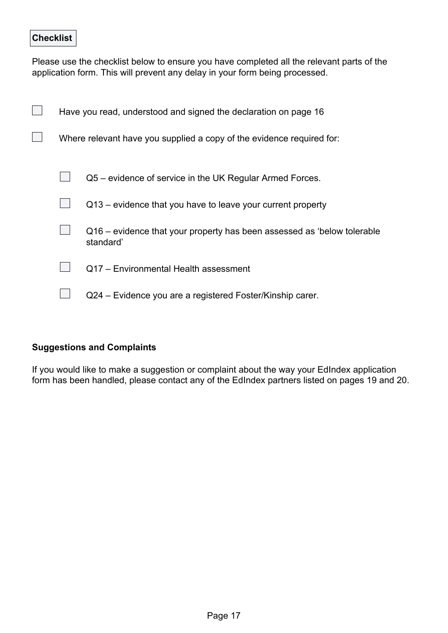## **Checklist**

Please use the checklist below to ensure you have completed all the relevant parts of the application form. This will prevent any delay in your form being processed.

| Have you read, understood and signed the declaration on page 16       |                                                                                      |  |
|-----------------------------------------------------------------------|--------------------------------------------------------------------------------------|--|
| Where relevant have you supplied a copy of the evidence required for: |                                                                                      |  |
|                                                                       | Q5 – evidence of service in the UK Regular Armed Forces.                             |  |
|                                                                       | Q13 – evidence that you have to leave your current property                          |  |
|                                                                       | Q16 – evidence that your property has been assessed as 'below tolerable<br>standard' |  |
|                                                                       | Q17 - Environmental Health assessment                                                |  |
|                                                                       | Q24 - Evidence you are a registered Foster/Kinship carer.                            |  |

#### **Suggestions and Complaints**

If you would like to make a suggestion or complaint about the way your EdIndex application form has been handled, please contact any of the EdIndex partners listed on pages 19 and 20.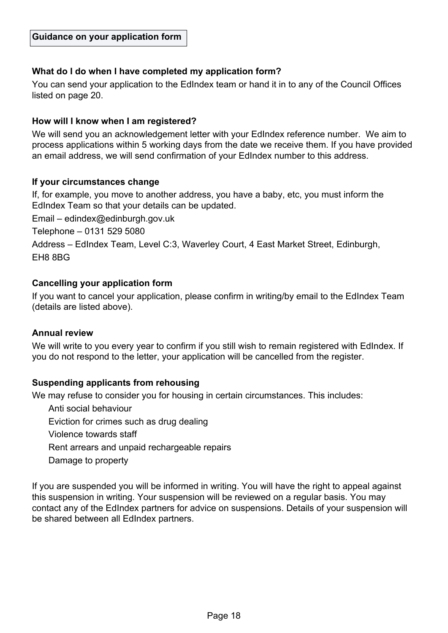#### **What do I do when I have completed my application form?**

You can send your application to the EdIndex team or hand it in to any of the Council Offices listed on page 20.

#### **How will I know when I am registered?**

We will send you an acknowledgement letter with your EdIndex reference number. We aim to process applications within 5 working days from the date we receive them. If you have provided an email address, we will send confirmation of your EdIndex number to this address.

#### **If your circumstances change**

If, for example, you move to another address, you have a baby, etc, you must inform the EdIndex Team so that your details can be updated.

Email – edindex@edinburgh.gov.uk

Telephone – 0131 529 5080

Address – EdIndex Team, Level C:3, Waverley Court, 4 East Market Street, Edinburgh, EH8 8BG

#### **Cancelling your application form**

If you want to cancel your application, please confirm in writing/by email to the EdIndex Team (details are listed above).

#### **Annual review**

We will write to you every year to confirm if you still wish to remain registered with EdIndex. If you do not respond to the letter, your application will be cancelled from the register.

#### **Suspending applicants from rehousing**

We may refuse to consider you for housing in certain circumstances. This includes:

Anti social behaviour Eviction for crimes such as drug dealing Violence towards staff

Rent arrears and unpaid rechargeable repairs

Damage to property

If you are suspended you will be informed in writing. You will have the right to appeal against this suspension in writing. Your suspension will be reviewed on a regular basis. You may contact any of the EdIndex partners for advice on suspensions. Details of your suspension will be shared between all EdIndex partners.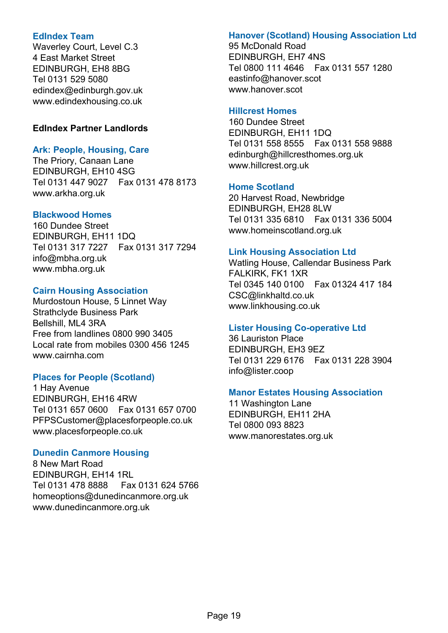#### **EdIndex Team**

Waverley Court, Level C.3 4 East Market Street EDINBURGH, EH8 8BG Tel 0131 529 5080 edindex@edinburgh.gov.uk www.edindexhousing.co.uk

#### **EdIndex Partner Landlords**

#### **Ark: People, Housing, Care**

The Priory, Canaan Lane EDINBURGH, EH10 4SG Tel 0131 447 9027 Fax 0131 478 8173 www.arkha.org.uk

#### **Blackwood Homes**

160 Dundee Street EDINBURGH, EH11 1DQ Tel 0131 317 7227 Fax 0131 317 7294 info@mbha.org.uk www.mbha.org.uk

#### **Cairn Housing Association**

Murdostoun House, 5 Linnet Way Strathclyde Business Park Bellshill, ML4 3RA Free from landlines 0800 990 3405 Local rate from mobiles 0300 456 1245 www.cairnha.com

#### **Places for People (Scotland)**

1 Hay Avenue EDINBURGH, EH16 4RW Tel 0131 657 0600 Fax 0131 657 0700 PFPSCustomer@placesforpeople.co.uk www.placesforpeople.co.uk

#### **Dunedin Canmore Housing**

8 New Mart Road EDINBURGH, EH14 1RL Tel 0131 478 8888 Fax 0131 624 5766 homeoptions@dunedincanmore.org.uk www.dunedincanmore.org.uk

## **Hanover (Scotland) Housing Association Ltd**

95 McDonald Road EDINBURGH, EH7 4NS Tel 0800 111 4646 Fax 0131 557 1280 eastinfo@hanover.scot www.hanover.scot

## **Hillcrest Homes**

160 Dundee Street EDINBURGH, EH11 1DQ Tel 0131 558 8555 Fax 0131 558 9888 edinburgh@hillcresthomes.org.uk www.hillcrest.org.uk

## **Home Scotland**

20 Harvest Road, Newbridge EDINBURGH, EH28 8LW Tel 0131 335 6810 Fax 0131 336 5004 www.homeinscotland.org.uk

## **Link Housing Association Ltd**

Watling House, Callendar Business Park FALKIRK, FK1 1XR Tel 0345 140 0100 Fax 01324 417 184 CSC@linkhaltd.co.uk www.linkhousing.co.uk

## **Lister Housing Co-operative Ltd**

36 Lauriston Place EDINBURGH, EH3 9EZ Tel 0131 229 6176 Fax 0131 228 3904 info@lister.coop

## **Manor Estates Housing Association**

11 Washington Lane EDINBURGH, EH11 2HA Tel 0800 093 8823 www.manorestates.org.uk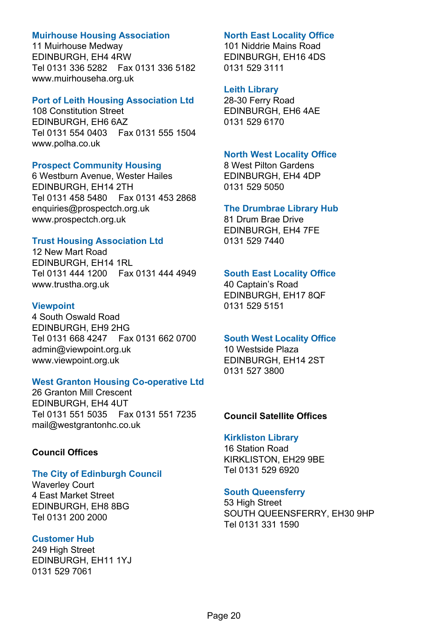#### **Muirhouse Housing Association**

11 Muirhouse Medway EDINBURGH, EH4 4RW Tel 0131 336 5282 Fax 0131 336 5182 www.muirhouseha.org.uk

#### **Port of Leith Housing Association Ltd**

108 Constitution Street EDINBURGH, EH6 6AZ Tel 0131 554 0403 Fax 0131 555 1504 www.polha.co.uk

#### **Prospect Community Housing**

6 Westburn Avenue, Wester Hailes EDINBURGH, EH14 2TH Tel 0131 458 5480 Fax 0131 453 2868 enquiries@prospectch.org.uk www.prospectch.org.uk

#### **Trust Housing Association Ltd**

12 New Mart Road EDINBURGH, EH14 1RL Tel 0131 444 1200 Fax 0131 444 4949 www.trustha.org.uk

#### **Viewpoint**

4 South Oswald Road EDINBURGH, EH9 2HG Tel 0131 668 4247 Fax 0131 662 0700 admin@viewpoint.org.uk www.viewpoint.org.uk

#### **West Granton Housing Co-operative Ltd**

26 Granton Mill Crescent EDINBURGH, EH4 4UT Tel 0131 551 5035 Fax 0131 551 7235 mail@westgrantonhc.co.uk

#### **Council Offices**

## **The City of Edinburgh Council**

Waverley Court 4 East Market Street EDINBURGH, EH8 8BG Tel 0131 200 2000

## **Customer Hub**

249 High Street EDINBURGH, EH11 1YJ 0131 529 7061

## **North East Locality Office**

101 Niddrie Mains Road EDINBURGH, EH16 4DS 0131 529 3111

#### **Leith Library**

28-30 Ferry Road EDINBURGH, EH6 4AE 0131 529 6170

#### **North West Locality Office**

8 West Pilton Gardens EDINBURGH, EH4 4DP 0131 529 5050

#### **The Drumbrae Library Hub**

81 Drum Brae Drive EDINBURGH, EH4 7FE 0131 529 7440

## **South East Locality Office**

40 Captain's Road EDINBURGH, EH17 8QF 0131 529 5151

#### **South West Locality Office**

10 Westside Plaza EDINBURGH, EH14 2ST 0131 527 3800

#### **Council Satellite Offices**

#### **Kirkliston Library**

16 Station Road KIRKLISTON, EH29 9BE Tel 0131 529 6920

#### **South Queensferry**

53 High Street SOUTH QUEENSFERRY, EH30 9HP Tel 0131 331 1590